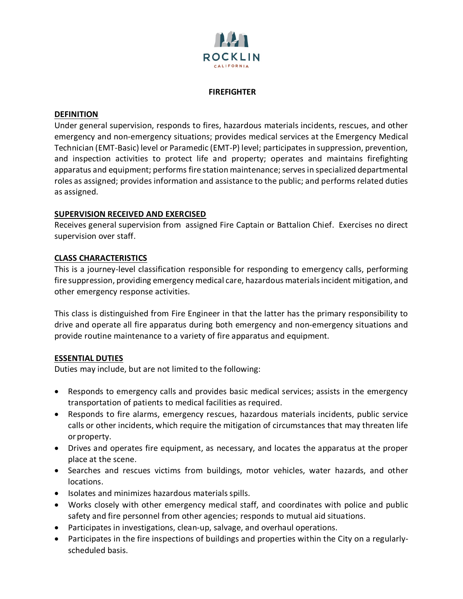

#### **FIREFIGHTER**

### **DEFINITION**

Under general supervision, responds to fires, hazardous materials incidents, rescues, and other emergency and non-emergency situations; provides medical services at the Emergency Medical Technician (EMT-Basic) level or Paramedic (EMT-P) level; participates in suppression, prevention, and inspection activities to protect life and property; operates and maintains firefighting apparatus and equipment; performs fire station maintenance; serves in specialized departmental roles as assigned; provides information and assistance to the public; and performs related duties as assigned.

### **SUPERVISION RECEIVED AND EXERCISED**

Receives general supervision from assigned Fire Captain or Battalion Chief. Exercises no direct supervision over staff.

### **CLASS CHARACTERISTICS**

This is a journey-level classification responsible for responding to emergency calls, performing fire suppression, providing emergency medical care, hazardous materialsincident mitigation, and other emergency response activities.

This class is distinguished from Fire Engineer in that the latter has the primary responsibility to drive and operate all fire apparatus during both emergency and non-emergency situations and provide routine maintenance to a variety of fire apparatus and equipment.

### **ESSENTIAL DUTIES**

Duties may include, but are not limited to the following:

- Responds to emergency calls and provides basic medical services; assists in the emergency transportation of patients to medical facilities as required.
- Responds to fire alarms, emergency rescues, hazardous materials incidents, public service calls or other incidents, which require the mitigation of circumstances that may threaten life or property.
- Drives and operates fire equipment, as necessary, and locates the apparatus at the proper place at the scene.
- Searches and rescues victims from buildings, motor vehicles, water hazards, and other locations.
- Isolates and minimizes hazardous materials spills.
- Works closely with other emergency medical staff, and coordinates with police and public safety and fire personnel from other agencies; responds to mutual aid situations.
- Participates in investigations, clean-up, salvage, and overhaul operations.
- Participates in the fire inspections of buildings and properties within the City on a regularlyscheduled basis.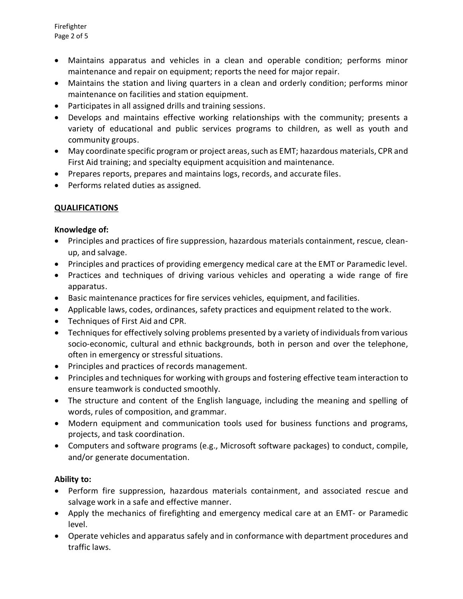- Maintains apparatus and vehicles in a clean and operable condition; performs minor maintenance and repair on equipment; reports the need for major repair.
- Maintains the station and living quarters in a clean and orderly condition; performs minor maintenance on facilities and station equipment.
- Participates in all assigned drills and training sessions.
- Develops and maintains effective working relationships with the community; presents a variety of educational and public services programs to children, as well as youth and community groups.
- May coordinate specific program or project areas, such as EMT; hazardous materials, CPR and First Aid training; and specialty equipment acquisition and maintenance.
- Prepares reports, prepares and maintains logs, records, and accurate files.
- Performs related duties as assigned.

# **QUALIFICATIONS**

## **Knowledge of:**

- Principles and practices of fire suppression, hazardous materials containment, rescue, cleanup, and salvage.
- Principles and practices of providing emergency medical care at the EMT or Paramedic level.
- Practices and techniques of driving various vehicles and operating a wide range of fire apparatus.
- Basic maintenance practices for fire services vehicles, equipment, and facilities.
- Applicable laws, codes, ordinances, safety practices and equipment related to the work.
- Techniques of First Aid and CPR.
- Techniques for effectively solving problems presented by a variety of individuals from various socio-economic, cultural and ethnic backgrounds, both in person and over the telephone, often in emergency or stressful situations.
- Principles and practices of records management.
- Principles and techniques for working with groups and fostering effective team interaction to ensure teamwork is conducted smoothly.
- The structure and content of the English language, including the meaning and spelling of words, rules of composition, and grammar.
- Modern equipment and communication tools used for business functions and programs, projects, and task coordination.
- Computers and software programs (e.g., Microsoft software packages) to conduct, compile, and/or generate documentation.

# **Ability to:**

- Perform fire suppression, hazardous materials containment, and associated rescue and salvage work in a safe and effective manner.
- Apply the mechanics of firefighting and emergency medical care at an EMT- or Paramedic level.
- Operate vehicles and apparatus safely and in conformance with department procedures and traffic laws.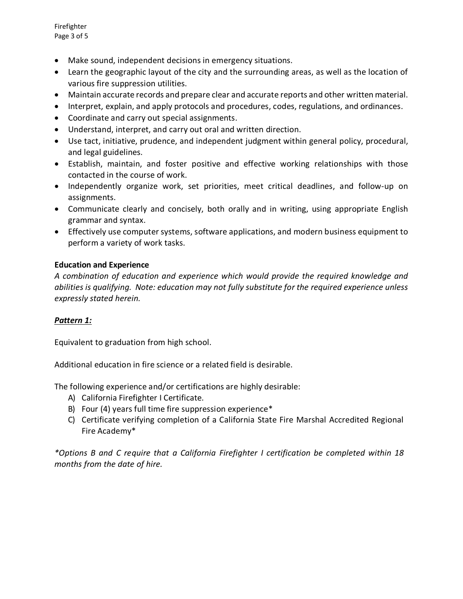Firefighter Page 3 of 5

- Make sound, independent decisions in emergency situations.
- Learn the geographic layout of the city and the surrounding areas, as well as the location of various fire suppression utilities.
- Maintain accurate records and prepare clear and accurate reports and other written material.
- Interpret, explain, and apply protocols and procedures, codes, regulations, and ordinances.
- Coordinate and carry out special assignments.
- Understand, interpret, and carry out oral and written direction.
- Use tact, initiative, prudence, and independent judgment within general policy, procedural, and legal guidelines.
- Establish, maintain, and foster positive and effective working relationships with those contacted in the course of work.
- Independently organize work, set priorities, meet critical deadlines, and follow-up on assignments.
- Communicate clearly and concisely, both orally and in writing, using appropriate English grammar and syntax.
- Effectively use computer systems, software applications, and modern business equipment to perform a variety of work tasks.

## **Education and Experience**

*A combination of education and experience which would provide the required knowledge and abilities is qualifying. Note: education may not fully substitute for the required experience unless expressly stated herein.* 

# *Pattern 1:*

Equivalent to graduation from high school.

Additional education in fire science or a related field is desirable.

The following experience and/or certifications are highly desirable:

- A) California Firefighter I Certificate.
- B) Four (4) years full time fire suppression experience\*
- C) Certificate verifying completion of a California State Fire Marshal Accredited Regional Fire Academy\*

*\*Options B and C require that a California Firefighter I certification be completed within 18 months from the date of hire.*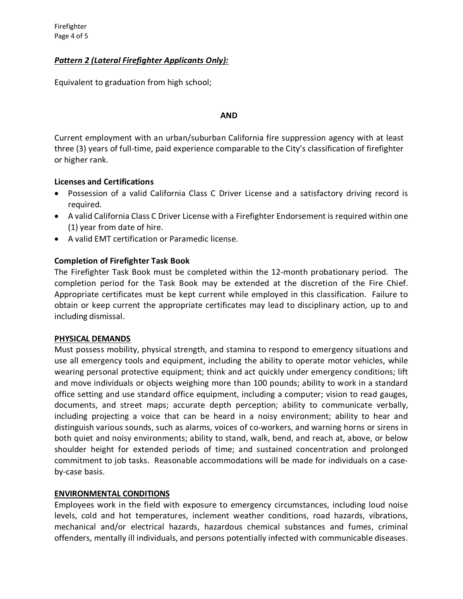# *Pattern 2 (Lateral Firefighter Applicants Only):*

Equivalent to graduation from high school;

#### **AND**

Current employment with an urban/suburban California fire suppression agency with at least three (3) years of full-time, paid experience comparable to the City's classification of firefighter or higher rank.

## **Licenses and Certifications**

- Possession of a valid California Class C Driver License and a satisfactory driving record is required.
- A valid California Class C Driver License with a Firefighter Endorsement is required within one (1) year from date of hire.
- A valid EMT certification or Paramedic license.

## **Completion of Firefighter Task Book**

The Firefighter Task Book must be completed within the 12-month probationary period. The completion period for the Task Book may be extended at the discretion of the Fire Chief. Appropriate certificates must be kept current while employed in this classification. Failure to obtain or keep current the appropriate certificates may lead to disciplinary action, up to and including dismissal.

### **PHYSICAL DEMANDS**

Must possess mobility, physical strength, and stamina to respond to emergency situations and use all emergency tools and equipment, including the ability to operate motor vehicles, while wearing personal protective equipment; think and act quickly under emergency conditions; lift and move individuals or objects weighing more than 100 pounds; ability to work in a standard office setting and use standard office equipment, including a computer; vision to read gauges, documents, and street maps; accurate depth perception; ability to communicate verbally, including projecting a voice that can be heard in a noisy environment; ability to hear and distinguish various sounds, such as alarms, voices of co-workers, and warning horns or sirens in both quiet and noisy environments; ability to stand, walk, bend, and reach at, above, or below shoulder height for extended periods of time; and sustained concentration and prolonged commitment to job tasks. Reasonable accommodations will be made for individuals on a caseby-case basis.

### **ENVIRONMENTAL CONDITIONS**

Employees work in the field with exposure to emergency circumstances, including loud noise levels, cold and hot temperatures, inclement weather conditions, road hazards, vibrations, mechanical and/or electrical hazards, hazardous chemical substances and fumes, criminal offenders, mentally ill individuals, and persons potentially infected with communicable diseases.